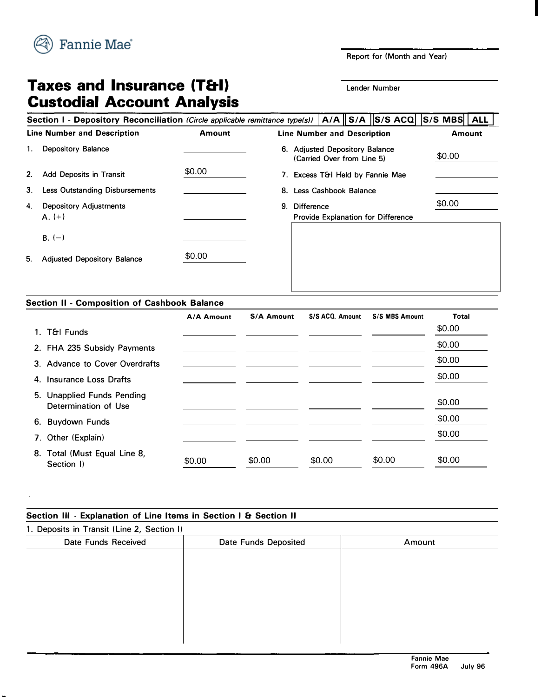

**Report for (Month and Year)** 

**I** 

# **Taxes and Insurance (T&I) Lender Number Custodial Account Analysis**

### Section I - Depository Reconciliation *(Circle applicable remittance type(s))*  $|A/A||S/A||S/S ACQ||S/S MBS||ALL$ **Line Number and Description 1. Depository Balance 2. Add Deposits in Transit 3. Less Outstanding Disbursements 4. Depository Adjustments**  $A. (+)$  $B. (-)$ **5. Adjusted Depository Balance Amount Line Number and Description Amount 6. Adjusted Depository Balance (Carried Over from Line 5) 7. Excess T&I Held by Fannie Mae 8. Less Cashbook Balance 9. Difference Provide Explanation for Difference** \$0.00 \$0.00 (Carried Over from Line 5)<br>
\$0.00 7. Excess T&I Held by Fannie Mae<br>
8. Less Cashbook Balance<br>
9. Difference<br>
Provide Explanation for Difference<br>
\$0.00

### **Section II - Composition of Cashbook Balance**

|                                                    | A/A Amount | <b>S/A Amount</b> | S/S ACQ. Amount | <b>S/S MBS Amount</b> | <b>Total</b> |
|----------------------------------------------------|------------|-------------------|-----------------|-----------------------|--------------|
| 1. T&I Funds                                       |            |                   |                 |                       | \$0.00       |
| 2. FHA 235 Subsidy Payments                        |            |                   |                 |                       | \$0.00       |
| 3. Advance to Cover Overdrafts                     |            |                   |                 |                       | \$0.00       |
| 4. Insurance Loss Drafts                           |            |                   |                 |                       | \$0.00       |
| 5. Unapplied Funds Pending<br>Determination of Use |            |                   |                 |                       | \$0.00       |
| <b>Buydown Funds</b><br>6.                         |            |                   |                 |                       | \$0.00       |
| 7. Other (Explain)                                 |            |                   |                 |                       | \$0.00       |
| 8. Total (Must Equal Line 8,<br>Section I)         | \$0.00     | \$0.00            | \$0.00          | \$0.00                | \$0.00       |

| Section III - Explanation of Line Items in Section I & Section II |                      |        |  |  |  |  |
|-------------------------------------------------------------------|----------------------|--------|--|--|--|--|
| 1. Deposits in Transit (Line 2, Section I)                        |                      |        |  |  |  |  |
| Date Funds Received                                               | Date Funds Deposited | Amount |  |  |  |  |
|                                                                   |                      |        |  |  |  |  |
|                                                                   |                      |        |  |  |  |  |
|                                                                   |                      |        |  |  |  |  |
|                                                                   |                      |        |  |  |  |  |
|                                                                   |                      |        |  |  |  |  |
|                                                                   |                      |        |  |  |  |  |
|                                                                   |                      |        |  |  |  |  |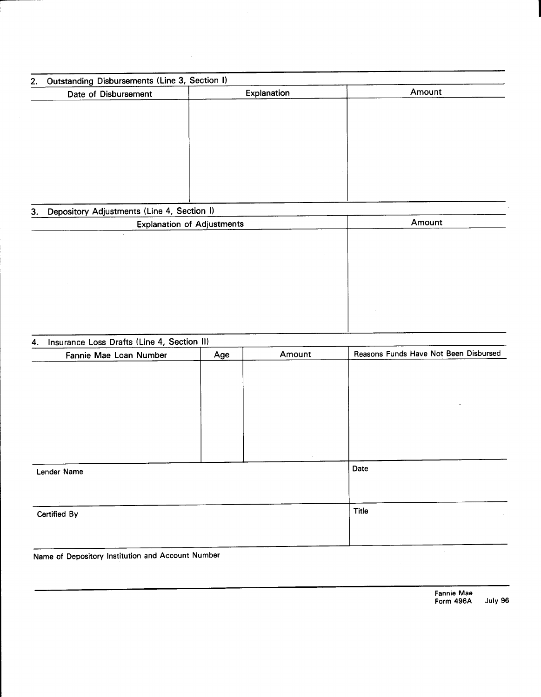| Outstanding Disbursements (Line 3, Section I)<br>2. |             |        |
|-----------------------------------------------------|-------------|--------|
| Date of Disbursement                                | Explanation | Amount |
|                                                     |             |        |
|                                                     |             |        |
|                                                     |             |        |
|                                                     |             |        |
|                                                     |             |        |
|                                                     |             |        |
|                                                     |             |        |
|                                                     |             |        |
| Depository Adjustments (Line 4, Section I)<br>3.    |             |        |
| <b>Explanation of Adjustments</b>                   |             | Amount |
|                                                     |             |        |
|                                                     |             |        |
|                                                     |             |        |
|                                                     |             |        |
|                                                     |             |        |
|                                                     |             |        |
|                                                     |             |        |
|                                                     |             |        |

#### Insurance Loss Drafts (Line 4, Section II)  $\overline{4}$ .

| Fannie Mae Loan Number | Age | Amount | Reasons Funds Have Not Been Disbursed |
|------------------------|-----|--------|---------------------------------------|
|                        |     |        |                                       |
|                        |     |        |                                       |
|                        |     |        |                                       |
|                        |     |        | $\cdot$                               |
|                        |     |        |                                       |
|                        |     |        |                                       |
|                        |     |        |                                       |
|                        |     |        |                                       |
| Lender Name            |     |        | Date                                  |
|                        |     |        |                                       |
|                        |     |        |                                       |
| Certified By           |     |        | Title                                 |
|                        |     |        |                                       |
|                        |     |        |                                       |

Name of Depository Institution and Account Number